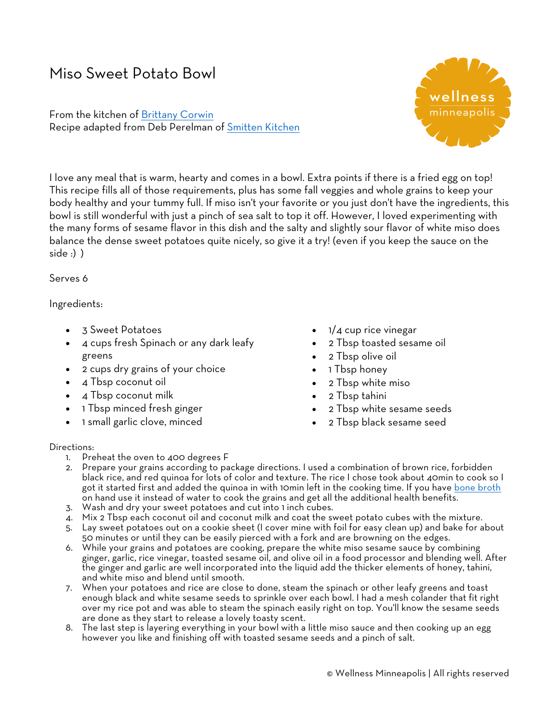## Miso Sweet Potato Bowl

From the kitchen of Brittany Corwin Recipe adapted from Deb Perelman of Smitten Kitchen



I love any meal that is warm, hearty and comes in a bowl. Extra points if there is a fried egg on top! This recipe fills all of those requirements, plus has some fall veggies and whole grains to keep your body healthy and your tummy full. If miso isn't your favorite or you just don't have the ingredients, this bowl is still wonderful with just a pinch of sea salt to top it off. However, I loved experimenting with the many forms of sesame flavor in this dish and the salty and slightly sour flavor of white miso does balance the dense sweet potatoes quite nicely, so give it a try! (even if you keep the sauce on the side :) )

## Serves 6

## Ingredients:

- 3 Sweet Potatoes
- 4 cups fresh Spinach or any dark leafy greens
- 2 cups dry grains of your choice
- 4 Tbsp coconut oil
- 4 Tbsp coconut milk
- 1 Tbsp minced fresh ginger
- 1 small garlic clove, minced
- 1/4 cup rice vinegar
- 2 Tbsp toasted sesame oil
- 2 Tbsp olive oil
- 1 Tbsp honey
- 2 Tbsp white miso
- 2 Tbsp tahini
- 2 Tbsp white sesame seeds
- 2 Tbsp black sesame seed

## Directions:

- 1. Preheat the oven to 400 degrees F
- 2. Prepare your grains according to package directions. I used a combination of brown rice, forbidden black rice, and red quinoa for lots of color and texture. The rice I chose took about 40min to cook so I got it started first and added the quinoa in with 10min left in the cooking time. If you have bone broth on hand use it instead of water to cook the grains and get all the additional health benefits.
- 3. Wash and dry your sweet potatoes and cut into 1 inch cubes.
- 4. Mix 2 Tbsp each coconut oil and coconut milk and coat the sweet potato cubes with the mixture.
- 5. Lay sweet potatoes out on a cookie sheet (I cover mine with foil for easy clean up) and bake for about 50 minutes or until they can be easily pierced with a fork and are browning on the edges.
- 6. While your grains and potatoes are cooking, prepare the white miso sesame sauce by combining ginger, garlic, rice vinegar, toasted sesame oil, and olive oil in a food processor and blending well. After the ginger and garlic are well incorporated into the liquid add the thicker elements of honey, tahini, and white miso and blend until smooth.
- 7. When your potatoes and rice are close to done, steam the spinach or other leafy greens and toast enough black and white sesame seeds to sprinkle over each bowl. I had a mesh colander that fit right over my rice pot and was able to steam the spinach easily right on top. You'll know the sesame seeds are done as they start to release a lovely toasty scent.
- 8. The last step is layering everything in your bowl with a little miso sauce and then cooking up an egg however you like and finishing off with toasted sesame seeds and a pinch of salt.